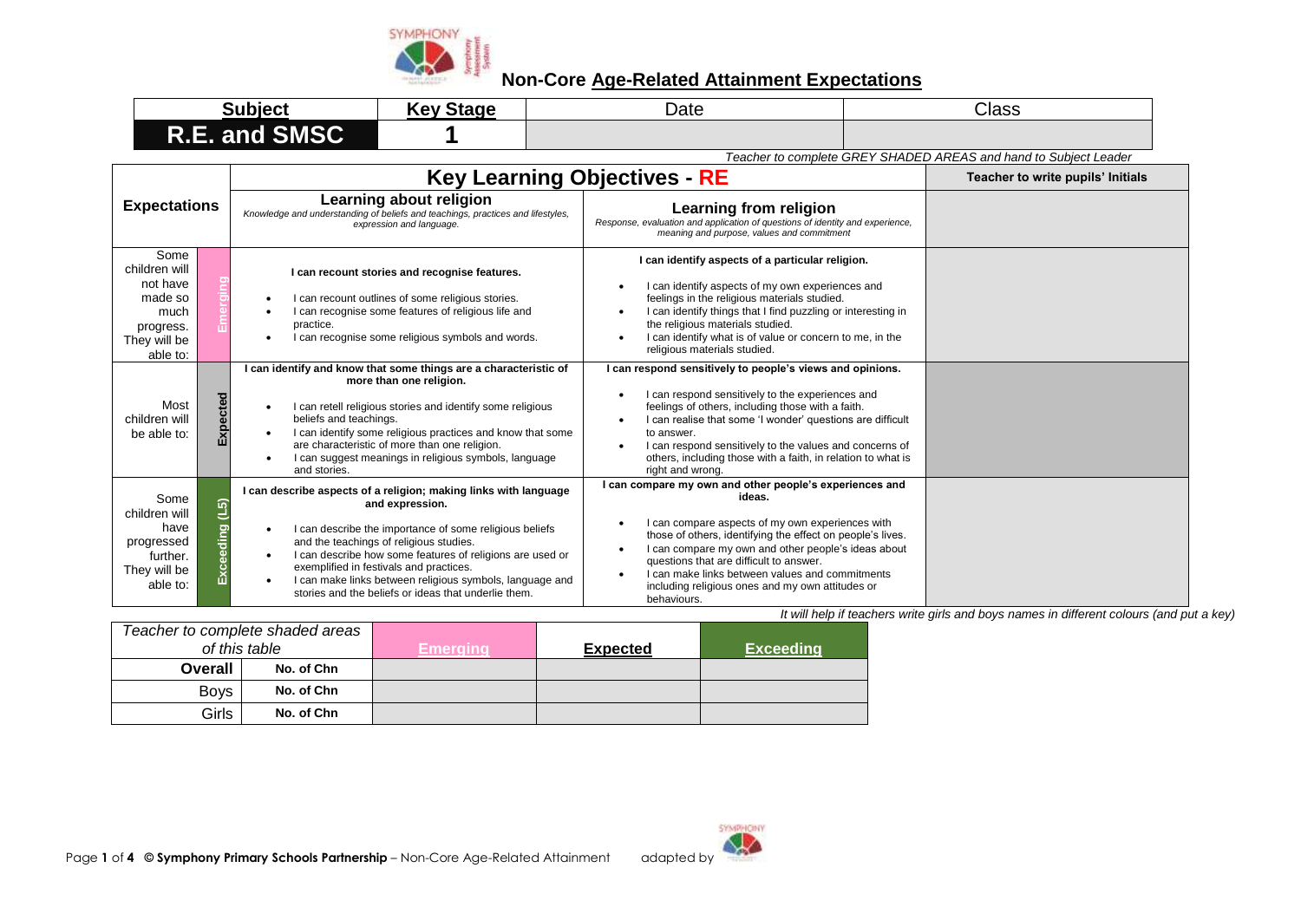

| <b>Subject</b>                                                                                |                                                                                                                                                               | <b>Key Stage</b>                                                 | Date                                                                                                                                                                                                                                                                                                                            | <b>Class</b>                                                                                                                                                                                                                                                                                                                                                                                  |                                                                  |
|-----------------------------------------------------------------------------------------------|---------------------------------------------------------------------------------------------------------------------------------------------------------------|------------------------------------------------------------------|---------------------------------------------------------------------------------------------------------------------------------------------------------------------------------------------------------------------------------------------------------------------------------------------------------------------------------|-----------------------------------------------------------------------------------------------------------------------------------------------------------------------------------------------------------------------------------------------------------------------------------------------------------------------------------------------------------------------------------------------|------------------------------------------------------------------|
| <b>R.E. and SMSC</b>                                                                          |                                                                                                                                                               |                                                                  |                                                                                                                                                                                                                                                                                                                                 |                                                                                                                                                                                                                                                                                                                                                                                               |                                                                  |
|                                                                                               |                                                                                                                                                               |                                                                  |                                                                                                                                                                                                                                                                                                                                 |                                                                                                                                                                                                                                                                                                                                                                                               | Teacher to complete GREY SHADED AREAS and hand to Subject Leader |
|                                                                                               |                                                                                                                                                               |                                                                  |                                                                                                                                                                                                                                                                                                                                 | <b>Key Learning Objectives - RE</b>                                                                                                                                                                                                                                                                                                                                                           | Teacher to write pupils' Initials                                |
|                                                                                               | Learning about religion<br><b>Expectations</b><br>Knowledge and understanding of beliefs and teachings, practices and lifestyles,<br>expression and language. |                                                                  |                                                                                                                                                                                                                                                                                                                                 | Learning from religion<br>Response, evaluation and application of questions of identity and experience,<br>meaning and purpose, values and commitment                                                                                                                                                                                                                                         |                                                                  |
| Some<br>children will<br>not have<br>made so<br>much<br>progress.<br>They will be<br>able to: |                                                                                                                                                               | $\bullet$<br>practice.                                           | I can recount stories and recognise features.<br>I can recount outlines of some religious stories.<br>I can recognise some features of religious life and<br>can recognise some religious symbols and words.                                                                                                                    | I can identify aspects of a particular religion.<br>I can identify aspects of my own experiences and<br>feelings in the religious materials studied.<br>I can identify things that I find puzzling or interesting in<br>the religious materials studied.<br>I can identify what is of value or concern to me, in the<br>religious materials studied.                                          |                                                                  |
| Most<br>children will<br>be able to:                                                          |                                                                                                                                                               | $\bullet$<br>beliefs and teachings.<br>$\bullet$<br>and stories. | I can identify and know that some things are a characteristic of<br>more than one religion.<br>I can retell religious stories and identify some religious<br>I can identify some religious practices and know that some<br>are characteristic of more than one religion.<br>can suggest meanings in religious symbols, language | I can respond sensitively to people's views and opinions.<br>I can respond sensitively to the experiences and<br>feelings of others, including those with a faith.<br>I can realise that some 'I wonder' questions are difficult<br>to answer.<br>I can respond sensitively to the values and concerns of<br>others, including those with a faith, in relation to what is<br>right and wrong. |                                                                  |
|                                                                                               |                                                                                                                                                               |                                                                  | Lean describe aspects of a religion: making links with language                                                                                                                                                                                                                                                                 | I can compare my own and other people's experiences and                                                                                                                                                                                                                                                                                                                                       |                                                                  |

| Some<br>children will<br>have<br>progressed<br>further.<br>They will be | I can describe aspects of a religion; making links with language<br>and expression.<br>I can describe the importance of some religious beliefs<br>and the teachings of religious studies.<br>I can describe how some features of religions are used or<br>exemplified in festivals and practices.<br>I can make links between religious symbols, language and | real compare my own and other people's experiences and<br>ideas.<br>I can compare aspects of my own experiences with<br>those of others, identifying the effect on people's lives.<br>I can compare my own and other people's ideas about<br>questions that are difficult to answer.<br>I can make links between values and commitments |  |
|-------------------------------------------------------------------------|---------------------------------------------------------------------------------------------------------------------------------------------------------------------------------------------------------------------------------------------------------------------------------------------------------------------------------------------------------------|-----------------------------------------------------------------------------------------------------------------------------------------------------------------------------------------------------------------------------------------------------------------------------------------------------------------------------------------|--|
| able to:                                                                | stories and the beliefs or ideas that underlie them.                                                                                                                                                                                                                                                                                                          | including religious ones and my own attitudes or<br>behaviours.                                                                                                                                                                                                                                                                         |  |

*It will help if teachers write girls and boys names in different colours (and put a key)*

|             | Teacher to complete shaded areas<br>of this table | <b>Emerging</b> | <b>Expected</b> | <b>Exceeding</b> |
|-------------|---------------------------------------------------|-----------------|-----------------|------------------|
| Overall     | No. of Chn                                        |                 |                 |                  |
| <b>Boys</b> | No. of Chn                                        |                 |                 |                  |
| Girls       | No. of Chn                                        |                 |                 |                  |

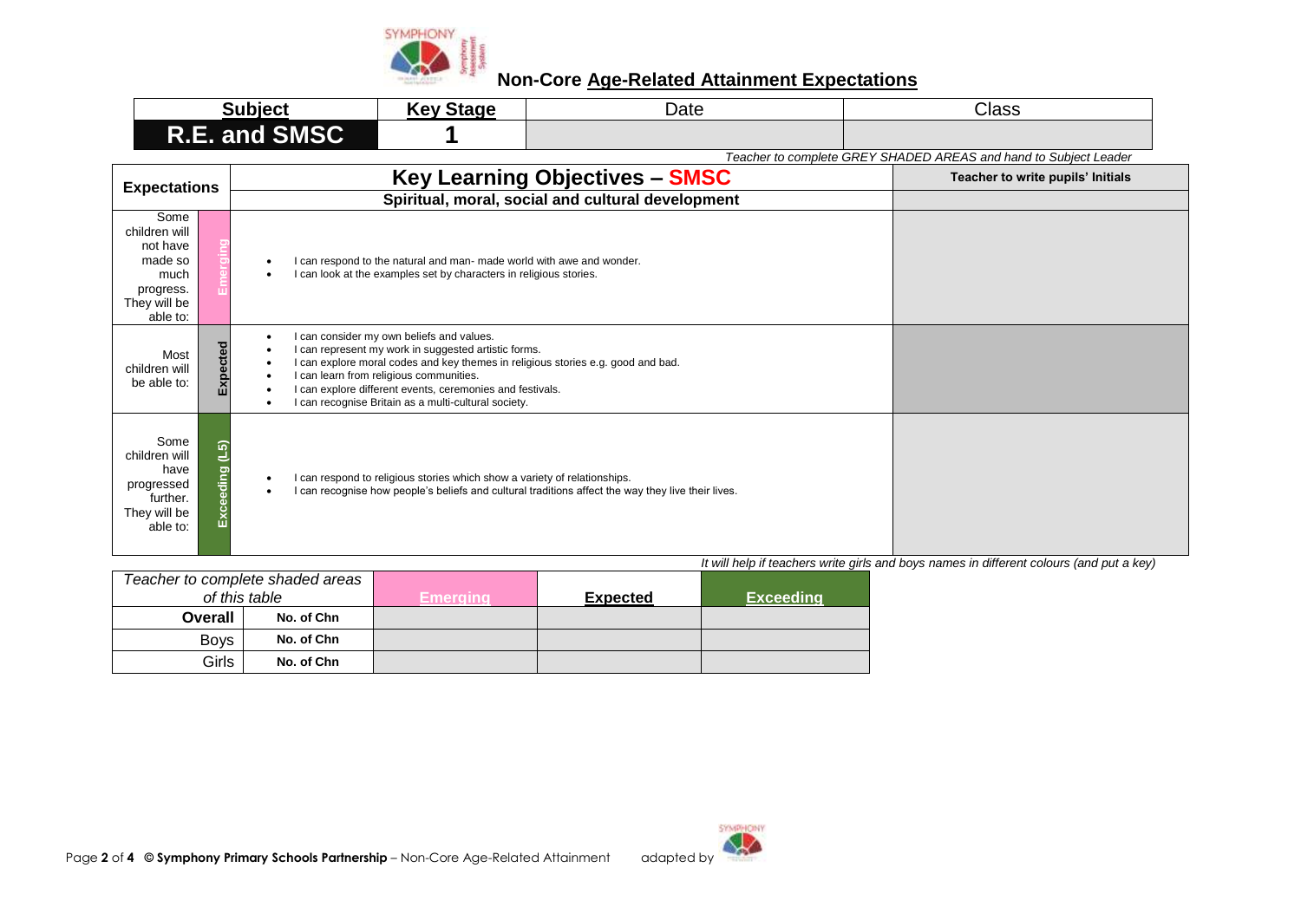

| Subject       | . .<br><b>Stage</b><br>Key | Date | Class |
|---------------|----------------------------|------|-------|
| R.E. and SMSC |                            |      |       |

*Teacher to complete GREY SHADED AREAS and hand to Subject Leader*

| Spiritual, moral, social and cultural development<br>Some<br>children will<br>not have<br>made so<br>I can respond to the natural and man- made world with awe and wonder.<br>much<br>I can look at the examples set by characters in religious stories.<br>progress.<br>They will be<br>able to:<br>I can consider my own beliefs and values.<br>cted<br>I can represent my work in suggested artistic forms.<br>Most<br>I can explore moral codes and key themes in religious stories e.g. good and bad.<br>children will<br>I can learn from religious communities.<br>be able to:<br>I can explore different events, ceremonies and festivals.<br>ШÌ<br>I can recognise Britain as a multi-cultural society.<br>Some<br>رى<br>children will<br>have<br>I can respond to religious stories which show a variety of relationships.<br>들<br>progressed<br>I can recognise how people's beliefs and cultural traditions affect the way they live their lives.<br>further.<br>They will be | <b>Expectations</b> | <b>Key Learning Objectives - SMSC</b> | i eacher to complete GNL r Si iADLD ANLAS and hand to Subject Leager<br>Teacher to write pupils' Initials |
|-------------------------------------------------------------------------------------------------------------------------------------------------------------------------------------------------------------------------------------------------------------------------------------------------------------------------------------------------------------------------------------------------------------------------------------------------------------------------------------------------------------------------------------------------------------------------------------------------------------------------------------------------------------------------------------------------------------------------------------------------------------------------------------------------------------------------------------------------------------------------------------------------------------------------------------------------------------------------------------------|---------------------|---------------------------------------|-----------------------------------------------------------------------------------------------------------|
|                                                                                                                                                                                                                                                                                                                                                                                                                                                                                                                                                                                                                                                                                                                                                                                                                                                                                                                                                                                           |                     |                                       |                                                                                                           |
|                                                                                                                                                                                                                                                                                                                                                                                                                                                                                                                                                                                                                                                                                                                                                                                                                                                                                                                                                                                           |                     |                                       |                                                                                                           |
|                                                                                                                                                                                                                                                                                                                                                                                                                                                                                                                                                                                                                                                                                                                                                                                                                                                                                                                                                                                           |                     |                                       |                                                                                                           |
|                                                                                                                                                                                                                                                                                                                                                                                                                                                                                                                                                                                                                                                                                                                                                                                                                                                                                                                                                                                           | able to:            |                                       |                                                                                                           |

|             | Teacher to complete shaded areas<br>of this table | Emerging, | <b>Expected</b> | <b>Exceeding</b> |
|-------------|---------------------------------------------------|-----------|-----------------|------------------|
| Overall     | No. of Chn                                        |           |                 |                  |
| <b>Boys</b> | No. of Chn                                        |           |                 |                  |
| Girls       | No. of Chn                                        |           |                 |                  |

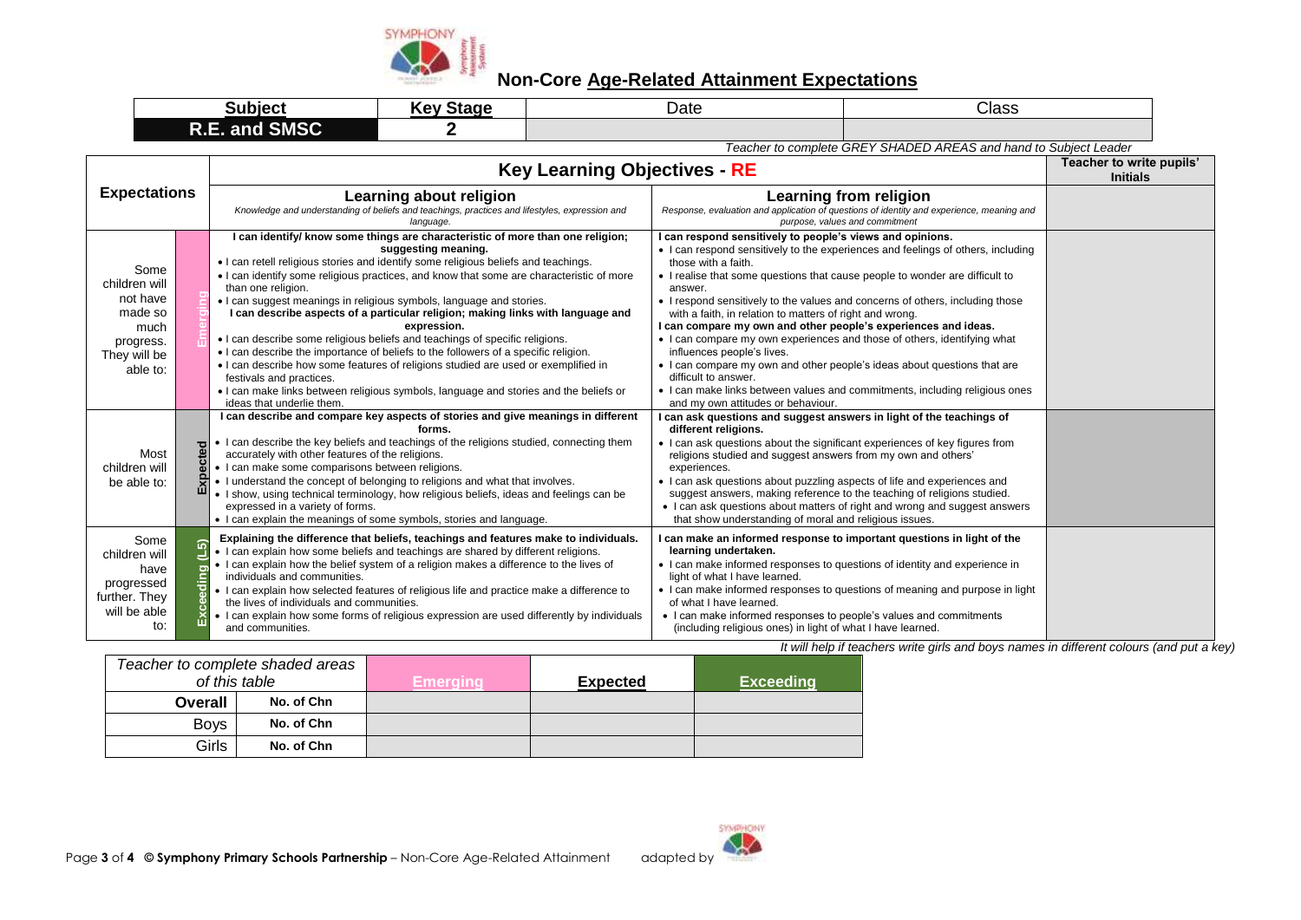

| Subject                        | . .<br>' Stage<br>Kev | Date | Class |
|--------------------------------|-----------------------|------|-------|
| <b>J SMSC</b><br>─<br>R.E. and |                       |      |       |

*Teacher to complete GREY SHADED AREAS and hand to Subject Leader* **Key Learning Objectives - RE Initials Expectations Learning about religion Learning from religion** *Knowledge and understanding of beliefs and teachings, practices and lifestyles, expression and Response, evaluation and application of questions of identity and experience, meaning and purpose, values and commitment language.* **I can identify/ know some things are characteristic of more than one religion; I can respond sensitively to people's views and opinions. suggesting meaning.** • I can respond sensitively to the experiences and feelings of others, including • I can retell religious stories and identify some religious beliefs and teachings. those with a faith. Some I can identify some religious practices, and know that some are characteristic of more • I realise that some questions that cause people to wonder are difficult to children will than one religion. answer. not have **Emerging** • I can suggest meanings in religious symbols, language and stories. • I respond sensitively to the values and concerns of others, including those made so **I can describe aspects of a particular religion; making links with language and**  with a faith, in relation to matters of right and wrong. **expression. I can compare my own and other people's experiences and ideas.** much • I can describe some religious beliefs and teachings of specific religions. • I can compare my own experiences and those of others, identifying what progress. • I can describe the importance of beliefs to the followers of a specific religion. influences people's lives. They will be I can describe how some features of religions studied are used or exemplified in I can compare my own and other people's ideas about questions that are able to: festivals and practices. difficult to answer. • I can make links between values and commitments, including religious ones I can make links between religious symbols, language and stories and the beliefs or and my own attitudes or behaviour. ideas that underlie them. **I can describe and compare key aspects of stories and give meanings in different I can ask questions and suggest answers in light of the teachings of forms. different religions.** I can describe the key beliefs and teachings of the religions studied, connecting them I can ask questions about the significant experiences of key figures from **Expected** Most accurately with other features of the religions. religions studied and suggest answers from my own and others' children will • I can make some comparisons between religions. experiences. I understand the concept of belonging to religions and what that involves. • I can ask questions about puzzling aspects of life and experiences and be able to: I show, using technical terminology, how religious beliefs, ideas and feelings can be suggest answers, making reference to the teaching of religions studied. expressed in a variety of forms. • I can ask questions about matters of right and wrong and suggest answers that show understanding of moral and religious issues. • I can explain the meanings of some symbols, stories and language. **Explaining the difference that beliefs, teachings and features make to individuals. I can make an informed response to important questions in light of the**  Some **Exceeding (L5)** • I can explain how some beliefs and teachings are shared by different religions. **learning undertaken.** children will I can explain how the belief system of a religion makes a difference to the lives of I can make informed responses to questions of identity and experience in have eding light of what I have learned. individuals and communities. progressed . I can explain how selected features of religious life and practice make a difference to • I can make informed responses to questions of meaning and purpose in light further. They of what I have learned. the lives of individuals and communities. will be able • I can explain how some forms of religious expression are used differently by individuals • I can make informed responses to people's values and commitments to: and communities. (including religious ones) in light of what I have learned.

*It will help if teachers write girls and boys names in different colours (and put a key)*

|             | Teacher to complete shaded areas<br>of this table | Emeraina | <b>Expected</b> | <b>Exceeding</b> |
|-------------|---------------------------------------------------|----------|-----------------|------------------|
| Overall     | No. of Chn                                        |          |                 |                  |
| <b>Boys</b> | No. of Chn                                        |          |                 |                  |
| Girls       | No. of Chn                                        |          |                 |                  |